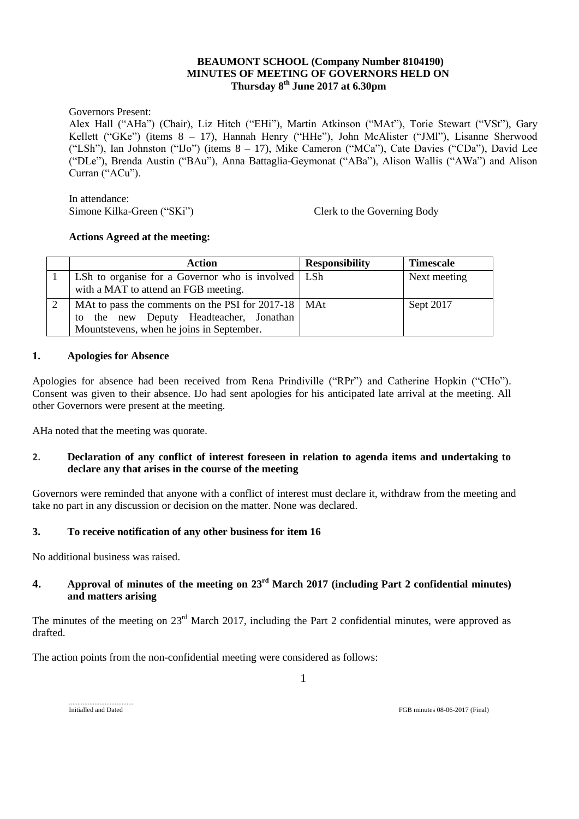## **BEAUMONT SCHOOL (Company Number 8104190) MINUTES OF MEETING OF GOVERNORS HELD ON Thursday 8 th June 2017 at 6.30pm**

Governors Present:

Alex Hall ("AHa") (Chair), Liz Hitch ("EHi"), Martin Atkinson ("MAt"), Torie Stewart ("VSt"), Gary Kellett ("GKe") (items 8 – 17), Hannah Henry ("HHe"), John McAlister ("JMl"), Lisanne Sherwood ("LSh"), Ian Johnston ("IJo") (items 8 – 17), Mike Cameron ("MCa"), Cate Davies ("CDa"), David Lee ("DLe"), Brenda Austin ("BAu"), Anna Battaglia-Geymonat ("ABa"), Alison Wallis ("AWa") and Alison Curran ("ACu").

In attendance: Simone Kilka-Green ("SKi") Clerk to the Governing Body

### **Actions Agreed at the meeting:**

| <b>Action</b>                                                                                    | <b>Responsibility</b> | <b>Timescale</b> |
|--------------------------------------------------------------------------------------------------|-----------------------|------------------|
| LSh to organise for a Governor who is involved   LSh<br>with a MAT to attend an FGB meeting.     |                       | Next meeting     |
| MAt to pass the comments on the PSI for 2017-18   MAt<br>to the new Deputy Headteacher, Jonathan |                       | Sept 2017        |
| Mountstevens, when he joins in September.                                                        |                       |                  |

### **1. Apologies for Absence**

Apologies for absence had been received from Rena Prindiville ("RPr") and Catherine Hopkin ("CHo"). Consent was given to their absence. IJo had sent apologies for his anticipated late arrival at the meeting. All other Governors were present at the meeting.

AHa noted that the meeting was quorate.

### **2. Declaration of any conflict of interest foreseen in relation to agenda items and undertaking to declare any that arises in the course of the meeting**

Governors were reminded that anyone with a conflict of interest must declare it, withdraw from the meeting and take no part in any discussion or decision on the matter. None was declared.

### **3. To receive notification of any other business for item 16**

No additional business was raised.

Initialled and Dated

# **4. Approval of minutes of the meeting on 23rd March 2017 (including Part 2 confidential minutes) and matters arising**

The minutes of the meeting on 23<sup>rd</sup> March 2017, including the Part 2 confidential minutes, were approved as drafted.

1

The action points from the non-confidential meeting were considered as follows: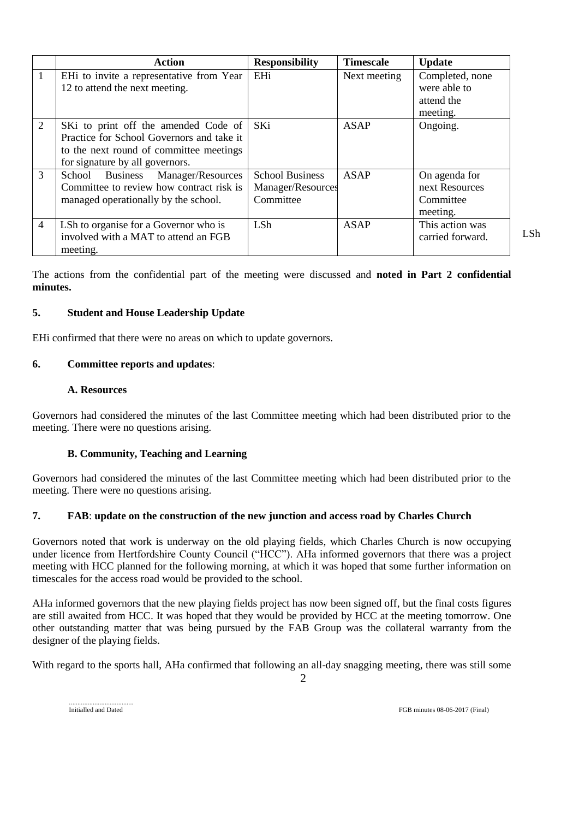|                | <b>Action</b>                                                                                                                                                   | <b>Responsibility</b>                                    | <b>Timescale</b> | <b>Update</b>                                             |
|----------------|-----------------------------------------------------------------------------------------------------------------------------------------------------------------|----------------------------------------------------------|------------------|-----------------------------------------------------------|
| $\overline{1}$ | EHi to invite a representative from Year<br>12 to attend the next meeting.                                                                                      | EHi                                                      | Next meeting     | Completed, none<br>were able to<br>attend the<br>meeting. |
| 2              | SKi to print off the amended Code of<br>Practice for School Governors and take it<br>to the next round of committee meetings<br>for signature by all governors. | SKi                                                      | ASAP             | Ongoing.                                                  |
| 3              | School Business Manager/Resources<br>Committee to review how contract risk is<br>managed operationally by the school.                                           | <b>School Business</b><br>Manager/Resources<br>Committee | <b>ASAP</b>      | On agenda for<br>next Resources<br>Committee<br>meeting.  |
| $\overline{4}$ | LSh to organise for a Governor who is<br>involved with a MAT to attend an FGB<br>meeting.                                                                       | <b>LSh</b>                                               | <b>ASAP</b>      | This action was<br>carried forward.                       |

LSh

The actions from the confidential part of the meeting were discussed and **noted in Part 2 confidential minutes.**

### **5. Student and House Leadership Update**

EHi confirmed that there were no areas on which to update governors.

### **6. Committee reports and updates**:

#### **A. Resources**

Governors had considered the minutes of the last Committee meeting which had been distributed prior to the meeting. There were no questions arising.

### **B. Community, Teaching and Learning**

Governors had considered the minutes of the last Committee meeting which had been distributed prior to the meeting. There were no questions arising.

### **7. FAB**: **update on the construction of the new junction and access road by Charles Church**

Governors noted that work is underway on the old playing fields, which Charles Church is now occupying under licence from Hertfordshire County Council ("HCC"). AHa informed governors that there was a project meeting with HCC planned for the following morning, at which it was hoped that some further information on timescales for the access road would be provided to the school.

AHa informed governors that the new playing fields project has now been signed off, but the final costs figures are still awaited from HCC. It was hoped that they would be provided by HCC at the meeting tomorrow. One other outstanding matter that was being pursued by the FAB Group was the collateral warranty from the designer of the playing fields.

With regard to the sports hall, AHa confirmed that following an all-day snagging meeting, there was still some

 $\mathcal{D}_{\alpha}$ 

Initialled and Dated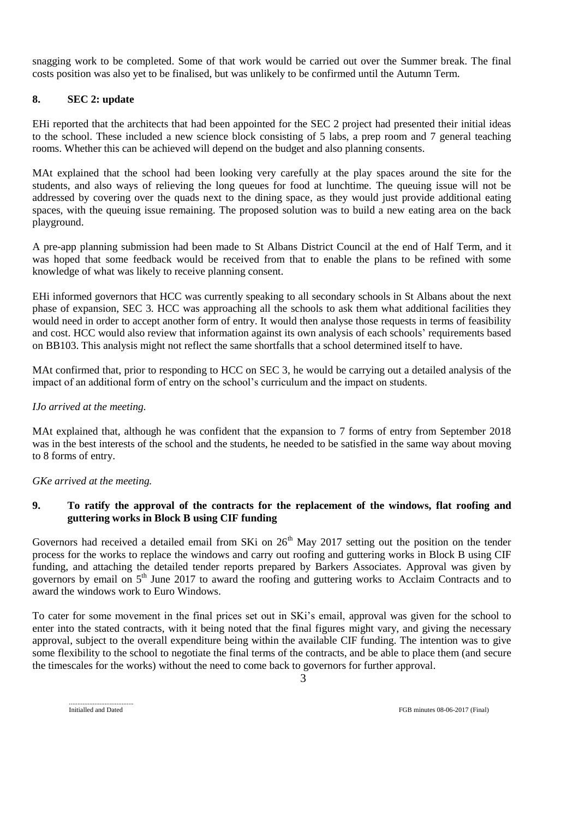snagging work to be completed. Some of that work would be carried out over the Summer break. The final costs position was also yet to be finalised, but was unlikely to be confirmed until the Autumn Term.

## **8. SEC 2: update**

EHi reported that the architects that had been appointed for the SEC 2 project had presented their initial ideas to the school. These included a new science block consisting of 5 labs, a prep room and 7 general teaching rooms. Whether this can be achieved will depend on the budget and also planning consents.

MAt explained that the school had been looking very carefully at the play spaces around the site for the students, and also ways of relieving the long queues for food at lunchtime. The queuing issue will not be addressed by covering over the quads next to the dining space, as they would just provide additional eating spaces, with the queuing issue remaining. The proposed solution was to build a new eating area on the back playground.

A pre-app planning submission had been made to St Albans District Council at the end of Half Term, and it was hoped that some feedback would be received from that to enable the plans to be refined with some knowledge of what was likely to receive planning consent.

EHi informed governors that HCC was currently speaking to all secondary schools in St Albans about the next phase of expansion, SEC 3. HCC was approaching all the schools to ask them what additional facilities they would need in order to accept another form of entry. It would then analyse those requests in terms of feasibility and cost. HCC would also review that information against its own analysis of each schools' requirements based on BB103. This analysis might not reflect the same shortfalls that a school determined itself to have.

MAt confirmed that, prior to responding to HCC on SEC 3, he would be carrying out a detailed analysis of the impact of an additional form of entry on the school's curriculum and the impact on students.

### *IJo arrived at the meeting.*

MAt explained that, although he was confident that the expansion to 7 forms of entry from September 2018 was in the best interests of the school and the students, he needed to be satisfied in the same way about moving to 8 forms of entry.

*GKe arrived at the meeting.*

## **9. To ratify the approval of the contracts for the replacement of the windows, flat roofing and guttering works in Block B using CIF funding**

Governors had received a detailed email from SKi on  $26<sup>th</sup>$  May 2017 setting out the position on the tender process for the works to replace the windows and carry out roofing and guttering works in Block B using CIF funding, and attaching the detailed tender reports prepared by Barkers Associates. Approval was given by governors by email on 5<sup>th</sup> June 2017 to award the roofing and guttering works to Acclaim Contracts and to award the windows work to Euro Windows.

To cater for some movement in the final prices set out in SKi's email, approval was given for the school to enter into the stated contracts, with it being noted that the final figures might vary, and giving the necessary approval, subject to the overall expenditure being within the available CIF funding. The intention was to give some flexibility to the school to negotiate the final terms of the contracts, and be able to place them (and secure the timescales for the works) without the need to come back to governors for further approval.

3

Initialled and Dated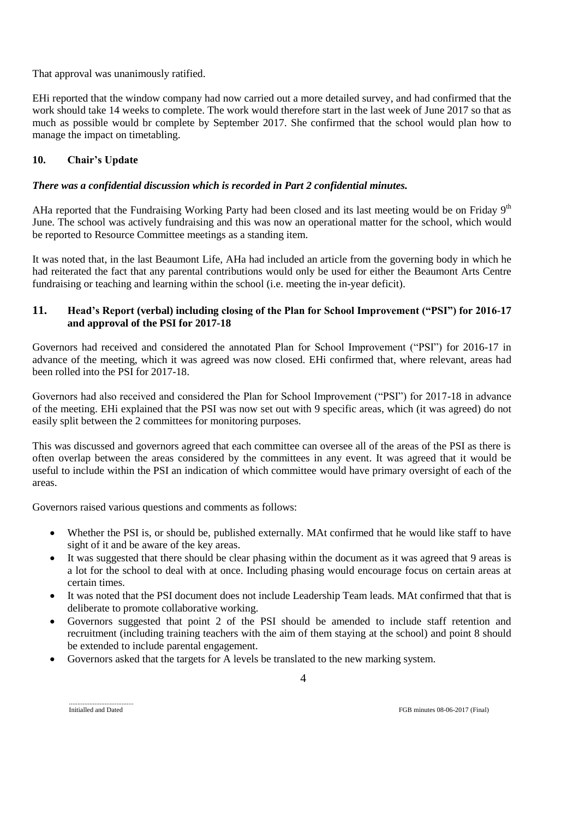That approval was unanimously ratified.

EHi reported that the window company had now carried out a more detailed survey, and had confirmed that the work should take 14 weeks to complete. The work would therefore start in the last week of June 2017 so that as much as possible would br complete by September 2017. She confirmed that the school would plan how to manage the impact on timetabling.

## **10. Chair's Update**

## *There was a confidential discussion which is recorded in Part 2 confidential minutes.*

AHa reported that the Fundraising Working Party had been closed and its last meeting would be on Friday 9<sup>th</sup> June. The school was actively fundraising and this was now an operational matter for the school, which would be reported to Resource Committee meetings as a standing item.

It was noted that, in the last Beaumont Life, AHa had included an article from the governing body in which he had reiterated the fact that any parental contributions would only be used for either the Beaumont Arts Centre fundraising or teaching and learning within the school (i.e. meeting the in-year deficit).

## **11. Head's Report (verbal) including closing of the Plan for School Improvement ("PSI") for 2016-17 and approval of the PSI for 2017-18**

Governors had received and considered the annotated Plan for School Improvement ("PSI") for 2016-17 in advance of the meeting, which it was agreed was now closed. EHi confirmed that, where relevant, areas had been rolled into the PSI for 2017-18.

Governors had also received and considered the Plan for School Improvement ("PSI") for 2017-18 in advance of the meeting. EHi explained that the PSI was now set out with 9 specific areas, which (it was agreed) do not easily split between the 2 committees for monitoring purposes.

This was discussed and governors agreed that each committee can oversee all of the areas of the PSI as there is often overlap between the areas considered by the committees in any event. It was agreed that it would be useful to include within the PSI an indication of which committee would have primary oversight of each of the areas.

Governors raised various questions and comments as follows:

- Whether the PSI is, or should be, published externally. MAt confirmed that he would like staff to have sight of it and be aware of the key areas.
- It was suggested that there should be clear phasing within the document as it was agreed that 9 areas is a lot for the school to deal with at once. Including phasing would encourage focus on certain areas at certain times.
- It was noted that the PSI document does not include Leadership Team leads. MAt confirmed that that is deliberate to promote collaborative working.
- Governors suggested that point 2 of the PSI should be amended to include staff retention and recruitment (including training teachers with the aim of them staying at the school) and point 8 should be extended to include parental engagement.

4

Governors asked that the targets for A levels be translated to the new marking system.

Initialled and Dated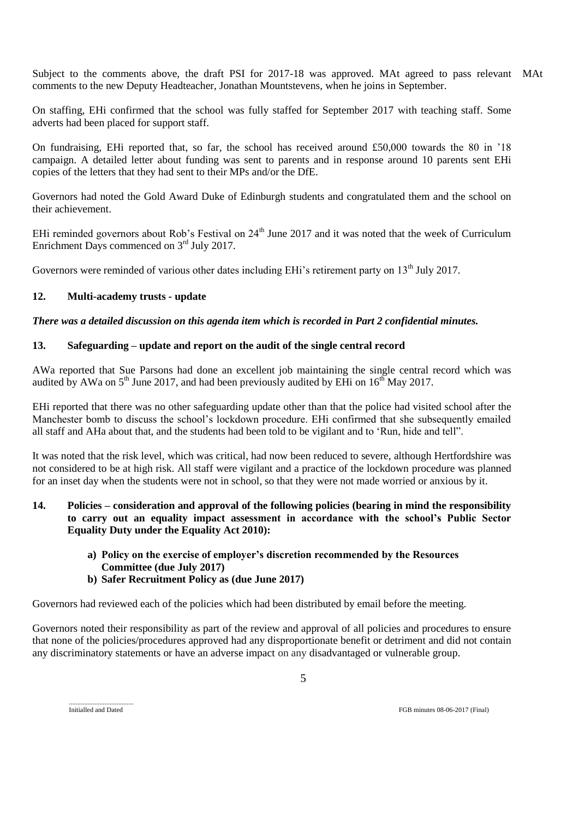Subject to the comments above, the draft PSI for 2017-18 was approved. MAt agreed to pass relevant MAtcomments to the new Deputy Headteacher, Jonathan Mountstevens, when he joins in September.

On staffing, EHi confirmed that the school was fully staffed for September 2017 with teaching staff. Some adverts had been placed for support staff.

On fundraising, EHi reported that, so far, the school has received around £50,000 towards the 80 in '18 campaign. A detailed letter about funding was sent to parents and in response around 10 parents sent EHi copies of the letters that they had sent to their MPs and/or the DfE.

Governors had noted the Gold Award Duke of Edinburgh students and congratulated them and the school on their achievement.

EHi reminded governors about Rob's Festival on 24<sup>th</sup> June 2017 and it was noted that the week of Curriculum Enrichment Days commenced on 3<sup>rd</sup> July 2017.

Governors were reminded of various other dates including EHi's retirement party on 13<sup>th</sup> July 2017.

## **12. Multi-academy trusts - update**

## *There was a detailed discussion on this agenda item which is recorded in Part 2 confidential minutes.*

## **13. Safeguarding – update and report on the audit of the single central record**

AWa reported that Sue Parsons had done an excellent job maintaining the single central record which was audited by AWa on  $5<sup>th</sup>$  June 2017, and had been previously audited by EHi on  $16<sup>th</sup>$  May 2017.

EHi reported that there was no other safeguarding update other than that the police had visited school after the Manchester bomb to discuss the school's lockdown procedure. EHi confirmed that she subsequently emailed all staff and AHa about that, and the students had been told to be vigilant and to 'Run, hide and tell".

It was noted that the risk level, which was critical, had now been reduced to severe, although Hertfordshire was not considered to be at high risk. All staff were vigilant and a practice of the lockdown procedure was planned for an inset day when the students were not in school, so that they were not made worried or anxious by it.

## **14. Policies – consideration and approval of the following policies (bearing in mind the responsibility to carry out an equality impact assessment in accordance with the school's Public Sector Equality Duty under the Equality Act 2010):**

- **a) Policy on the exercise of employer's discretion recommended by the Resources Committee (due July 2017)**
- **b) Safer Recruitment Policy as (due June 2017)**

Governors had reviewed each of the policies which had been distributed by email before the meeting.

Governors noted their responsibility as part of the review and approval of all policies and procedures to ensure that none of the policies/procedures approved had any disproportionate benefit or detriment and did not contain any discriminatory statements or have an adverse impact on any disadvantaged or vulnerable group.

5

Initialled and Dated